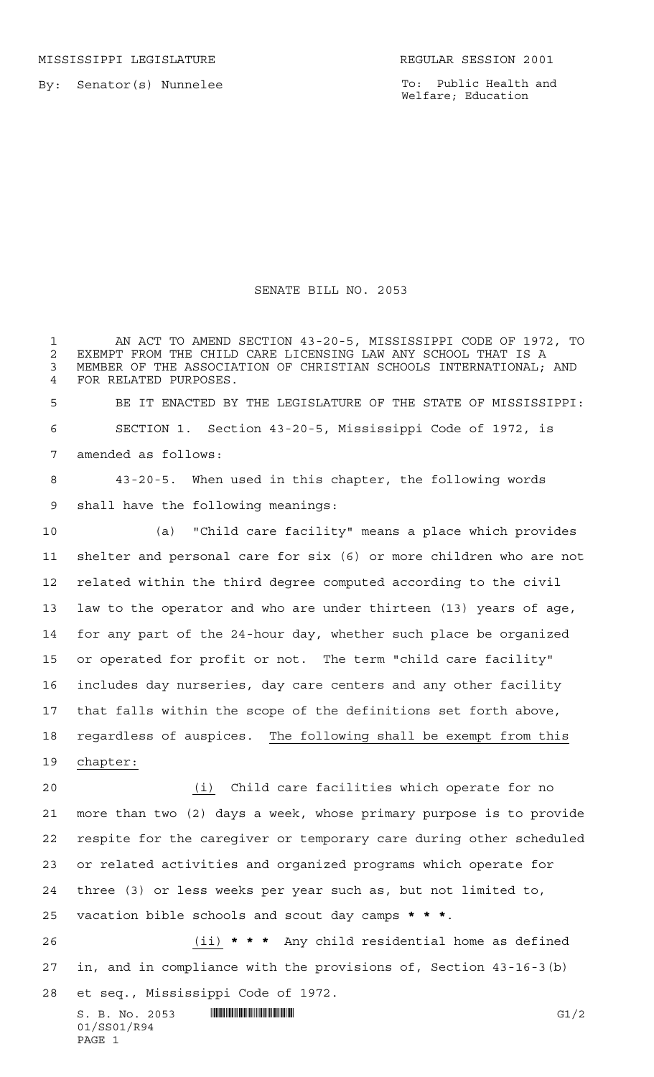To: Public Health and Welfare; Education

## SENATE BILL NO. 2053

 AN ACT TO AMEND SECTION 43-20-5, MISSISSIPPI CODE OF 1972, TO 2 EXEMPT FROM THE CHILD CARE LICENSING LAW ANY SCHOOL THAT IS A<br>3 MEMBER OF THE ASSOCIATION OF CHRISTIAN SCHOOLS INTERNATIONAL: MEMBER OF THE ASSOCIATION OF CHRISTIAN SCHOOLS INTERNATIONAL; AND FOR RELATED PURPOSES. BE IT ENACTED BY THE LEGISLATURE OF THE STATE OF MISSISSIPPI: SECTION 1. Section 43-20-5, Mississippi Code of 1972, is amended as follows:

 43-20-5. When used in this chapter, the following words shall have the following meanings:

 (a) "Child care facility" means a place which provides shelter and personal care for six (6) or more children who are not related within the third degree computed according to the civil law to the operator and who are under thirteen (13) years of age, for any part of the 24-hour day, whether such place be organized or operated for profit or not. The term "child care facility" includes day nurseries, day care centers and any other facility that falls within the scope of the definitions set forth above, regardless of auspices. The following shall be exempt from this chapter:

 (i) Child care facilities which operate for no more than two (2) days a week, whose primary purpose is to provide respite for the caregiver or temporary care during other scheduled or related activities and organized programs which operate for three (3) or less weeks per year such as, but not limited to, vacation bible schools and scout day camps **\*\*\***.

 (ii) **\*\*\*** Any child residential home as defined in, and in compliance with the provisions of, Section 43-16-3(b) et seq., Mississippi Code of 1972.

 $S. B. No. 2053$  **INNIFICANTIFICANT EXAMPLE EXAMPLE EXAMPLE EXAMPLE EXAMPLE EXAMPLE EXAMPLE EXAMPLE EXAMPLE EXAMPLE EXAMPLE EXAMPLE EXAMPLE EXAMPLE EXAMPLE EXAMPLE EXAMPLE EXAMPLE EXAMPLE EXAMPLE EXAMPLE EXAMPLE EXAMPLE EXAM** 01/SS01/R94 PAGE 1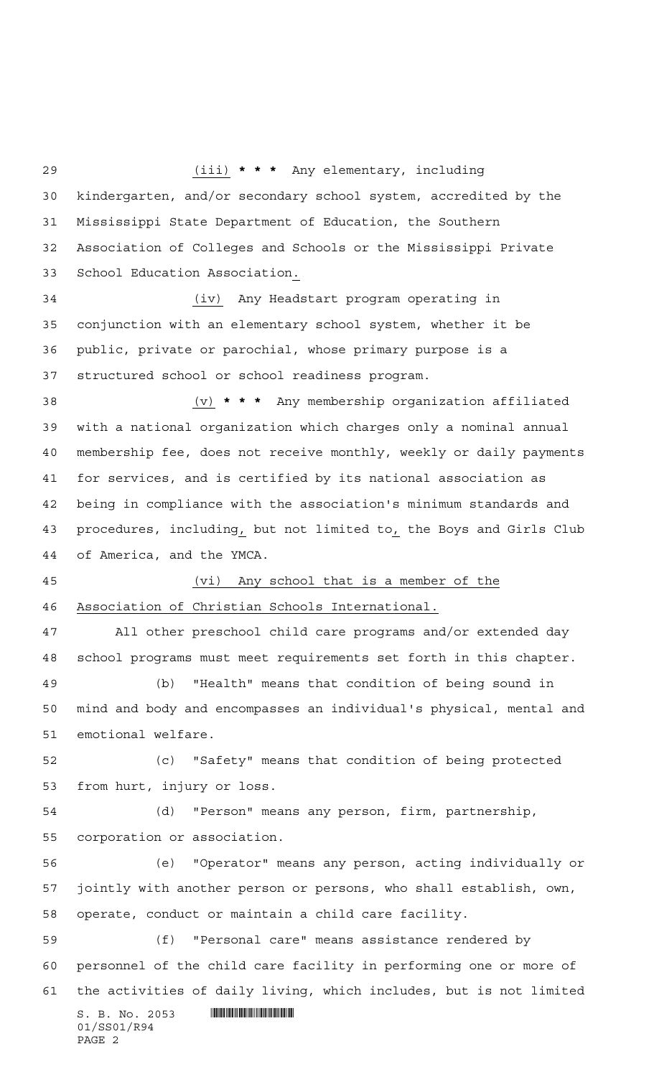$S. B. No. 2053$  . Superintendent and  $S. B. No. 2053$ 01/SS01/R94 PAGE 2 (iii) **\*\*\*** Any elementary, including kindergarten, and/or secondary school system, accredited by the Mississippi State Department of Education, the Southern Association of Colleges and Schools or the Mississippi Private School Education Association. (iv) Any Headstart program operating in conjunction with an elementary school system, whether it be public, private or parochial, whose primary purpose is a structured school or school readiness program. (v) **\*\*\*** Any membership organization affiliated with a national organization which charges only a nominal annual membership fee, does not receive monthly, weekly or daily payments for services, and is certified by its national association as being in compliance with the association's minimum standards and procedures, including, but not limited to, the Boys and Girls Club of America, and the YMCA. (vi) Any school that is a member of the Association of Christian Schools International. All other preschool child care programs and/or extended day school programs must meet requirements set forth in this chapter. (b) "Health" means that condition of being sound in mind and body and encompasses an individual's physical, mental and emotional welfare. (c) "Safety" means that condition of being protected from hurt, injury or loss. (d) "Person" means any person, firm, partnership, corporation or association. (e) "Operator" means any person, acting individually or jointly with another person or persons, who shall establish, own, operate, conduct or maintain a child care facility. (f) "Personal care" means assistance rendered by personnel of the child care facility in performing one or more of the activities of daily living, which includes, but is not limited